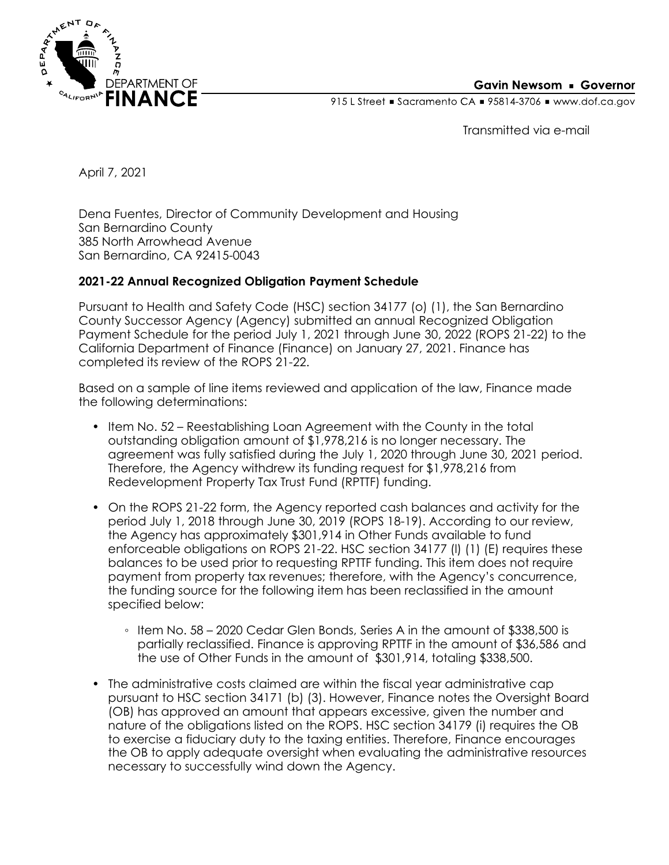

915 L Street Gacramento CA = 95814-3706 Www.dof.ca.gov

Transmitted via e-mail

April 7, 2021

Dena Fuentes, Director of Community Development and Housing San Bernardino County 385 North Arrowhead Avenue San Bernardino, CA 92415-0043

## **2021-22 Annual Recognized Obligation Payment Schedule**

Pursuant to Health and Safety Code (HSC) section 34177 (o) (1), the San Bernardino County Successor Agency (Agency) submitted an annual Recognized Obligation Payment Schedule for the period July 1, 2021 through June 30, 2022 (ROPS 21-22) to the California Department of Finance (Finance) on January 27, 2021. Finance has completed its review of the ROPS 21-22.

Based on a sample of line items reviewed and application of the law, Finance made the following determinations:

- Item No. 52 Reestablishing Loan Agreement with the County in the total outstanding obligation amount of \$1,978,216 is no longer necessary. The agreement was fully satisfied during the July 1, 2020 through June 30, 2021 period. Therefore, the Agency withdrew its funding request for \$1,978,216 from Redevelopment Property Tax Trust Fund (RPTTF) funding.
- On the ROPS 21-22 form, the Agency reported cash balances and activity for the period July 1, 2018 through June 30, 2019 (ROPS 18-19). According to our review, the Agency has approximately \$301,914 in Other Funds available to fund enforceable obligations on ROPS 21-22. HSC section 34177 (l) (1) (E) requires these balances to be used prior to requesting RPTTF funding. This item does not require payment from property tax revenues; therefore, with the Agency's concurrence, the funding source for the following item has been reclassified in the amount specified below:
	- Item No. 58 2020 Cedar Glen Bonds, Series A in the amount of \$338,500 is partially reclassified. Finance is approving RPTTF in the amount of \$36,586 and the use of Other Funds in the amount of \$301,914, totaling \$338,500.
- The administrative costs claimed are within the fiscal year administrative cap pursuant to HSC section 34171 (b) (3). However, Finance notes the Oversight Board (OB) has approved an amount that appears excessive, given the number and nature of the obligations listed on the ROPS. HSC section 34179 (i) requires the OB to exercise a fiduciary duty to the taxing entities. Therefore, Finance encourages the OB to apply adequate oversight when evaluating the administrative resources necessary to successfully wind down the Agency.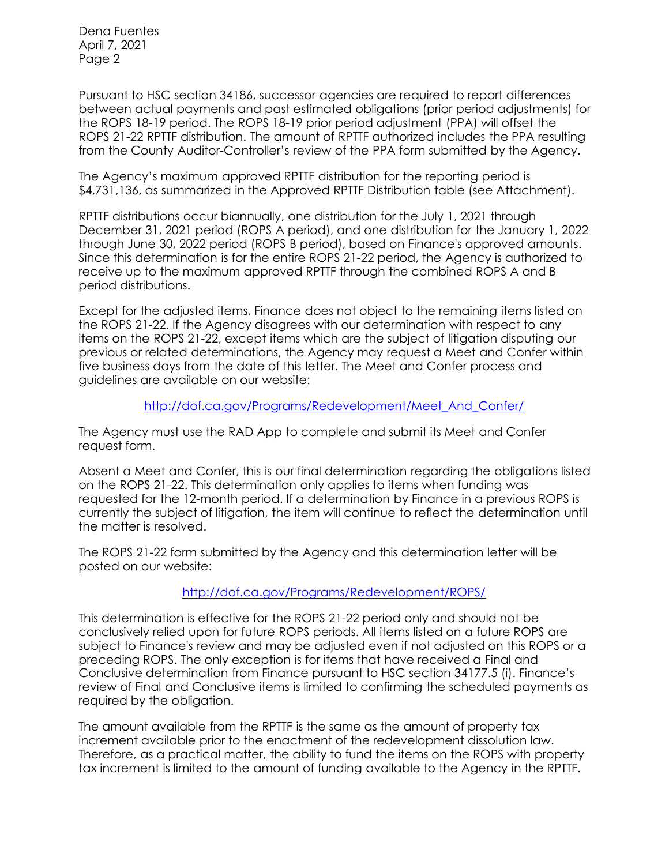Dena Fuentes April 7, 2021 Page 2

Pursuant to HSC section 34186, successor agencies are required to report differences between actual payments and past estimated obligations (prior period adjustments) for the ROPS 18-19 period. The ROPS 18-19 prior period adjustment (PPA) will offset the ROPS 21-22 RPTTF distribution. The amount of RPTTF authorized includes the PPA resulting from the County Auditor-Controller's review of the PPA form submitted by the Agency.

The Agency's maximum approved RPTTF distribution for the reporting period is \$4,731,136, as summarized in the Approved RPTTF Distribution table (see Attachment).

RPTTF distributions occur biannually, one distribution for the July 1, 2021 through December 31, 2021 period (ROPS A period), and one distribution for the January 1, 2022 through June 30, 2022 period (ROPS B period), based on Finance's approved amounts. Since this determination is for the entire ROPS 21-22 period, the Agency is authorized to receive up to the maximum approved RPTTF through the combined ROPS A and B period distributions.

Except for the adjusted items, Finance does not object to the remaining items listed on the ROPS 21-22. If the Agency disagrees with our determination with respect to any items on the ROPS 21-22, except items which are the subject of litigation disputing our previous or related determinations, the Agency may request a Meet and Confer within five business days from the date of this letter. The Meet and Confer process and guidelines are available on our website:

## [http://dof.ca.gov/Programs/Redevelopment/Meet\\_And\\_Confer/](http://dof.ca.gov/Programs/Redevelopment/Meet_And_Confer/)

The Agency must use the RAD App to complete and submit its Meet and Confer request form.

Absent a Meet and Confer, this is our final determination regarding the obligations listed on the ROPS 21-22. This determination only applies to items when funding was requested for the 12-month period. If a determination by Finance in a previous ROPS is currently the subject of litigation, the item will continue to reflect the determination until the matter is resolved.

The ROPS 21-22 form submitted by the Agency and this determination letter will be posted on our website:

## <http://dof.ca.gov/Programs/Redevelopment/ROPS/>

This determination is effective for the ROPS 21-22 period only and should not be conclusively relied upon for future ROPS periods. All items listed on a future ROPS are subject to Finance's review and may be adjusted even if not adjusted on this ROPS or a preceding ROPS. The only exception is for items that have received a Final and Conclusive determination from Finance pursuant to HSC section 34177.5 (i). Finance's review of Final and Conclusive items is limited to confirming the scheduled payments as required by the obligation.

The amount available from the RPTTF is the same as the amount of property tax increment available prior to the enactment of the redevelopment dissolution law. Therefore, as a practical matter, the ability to fund the items on the ROPS with property tax increment is limited to the amount of funding available to the Agency in the RPTTF.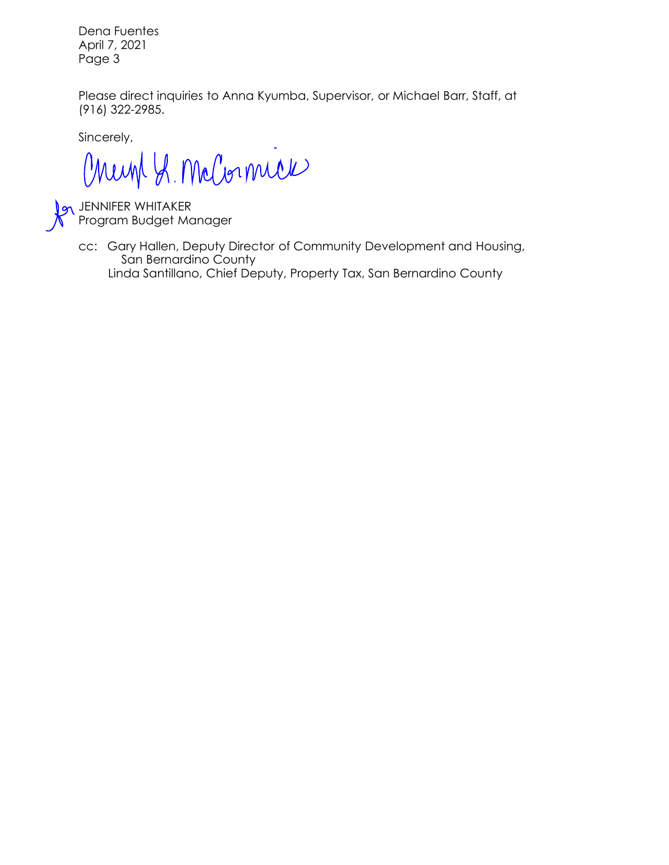Dena Fuentes April 7, 2021 Page 3

Please direct inquiries to Anna Kyumba, Supervisor, or Michael Barr, Staff, at (916) 322-2985.

Sincerely,

Chemp S. McCornick

JENNIFER WHITAKER Program Budget Manager

cc: Gary Hallen, Deputy Director of Community Development and Housing, San Bernardino County Linda Santillano, Chief Deputy, Property Tax, San Bernardino County